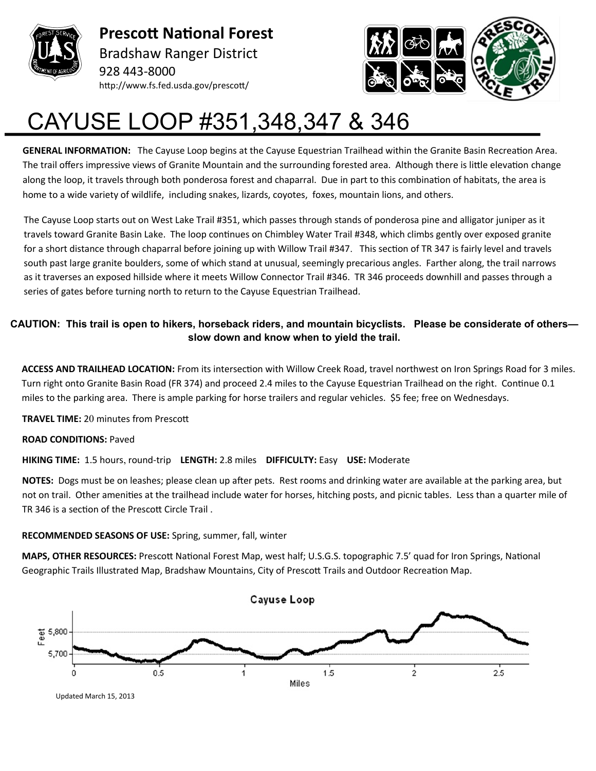

**Prescott National Forest** Bradshaw Ranger District 928 443-8000 http://www.fs.fed.usda.gov/prescott/



## CAYUSE LOOP #351,348,347 & 346

**GENERAL INFORMATION:** The Cayuse Loop begins at the Cayuse Equestrian Trailhead within the Granite Basin Recreation Area. The trail offers impressive views of Granite Mountain and the surrounding forested area. Although there is little elevation change along the loop, it travels through both ponderosa forest and chaparral. Due in part to this combination of habitats, the area is home to a wide variety of wildlife, including snakes, lizards, coyotes, foxes, mountain lions, and others.

The Cayuse Loop starts out on West Lake Trail #351, which passes through stands of ponderosa pine and alligator juniper as it travels toward Granite Basin Lake. The loop continues on Chimbley Water Trail #348, which climbs gently over exposed granite for a short distance through chaparral before joining up with Willow Trail #347. This section of TR 347 is fairly level and travels south past large granite boulders, some of which stand at unusual, seemingly precarious angles. Farther along, the trail narrows as it traverses an exposed hillside where it meets Willow Connector Trail #346. TR 346 proceeds downhill and passes through a series of gates before turning north to return to the Cayuse Equestrian Trailhead.

## **CAUTION: This trail is open to hikers, horseback riders, and mountain bicyclists. Please be considerate of others slow down and know when to yield the trail.**

**ACCESS AND TRAILHEAD LOCATION:** From its intersection with Willow Creek Road, travel northwest on Iron Springs Road for 3 miles. Turn right onto Granite Basin Road (FR 374) and proceed 2.4 miles to the Cayuse Equestrian Trailhead on the right. Continue 0.1 miles to the parking area. There is ample parking for horse trailers and regular vehicles. \$5 fee; free on Wednesdays.

**TRAVEL TIME:** 20 minutes from Prescott

## **ROAD CONDITIONS:** Paved

**HIKING TIME:** 1.5 hours, round-trip **LENGTH:** 2.8 miles **DIFFICULTY:** Easy **USE:** Moderate

**NOTES:** Dogs must be on leashes; please clean up after pets. Rest rooms and drinking water are available at the parking area, but not on trail. Other amenities at the trailhead include water for horses, hitching posts, and picnic tables. Less than a quarter mile of TR 346 is a section of the Prescott Circle Trail .

## **RECOMMENDED SEASONS OF USE:** Spring, summer, fall, winter

**MAPS, OTHER RESOURCES:** Prescott National Forest Map, west half; U.S.G.S. topographic 7.5' quad for Iron Springs, National Geographic Trails Illustrated Map, Bradshaw Mountains, City of Prescott Trails and Outdoor Recreation Map.